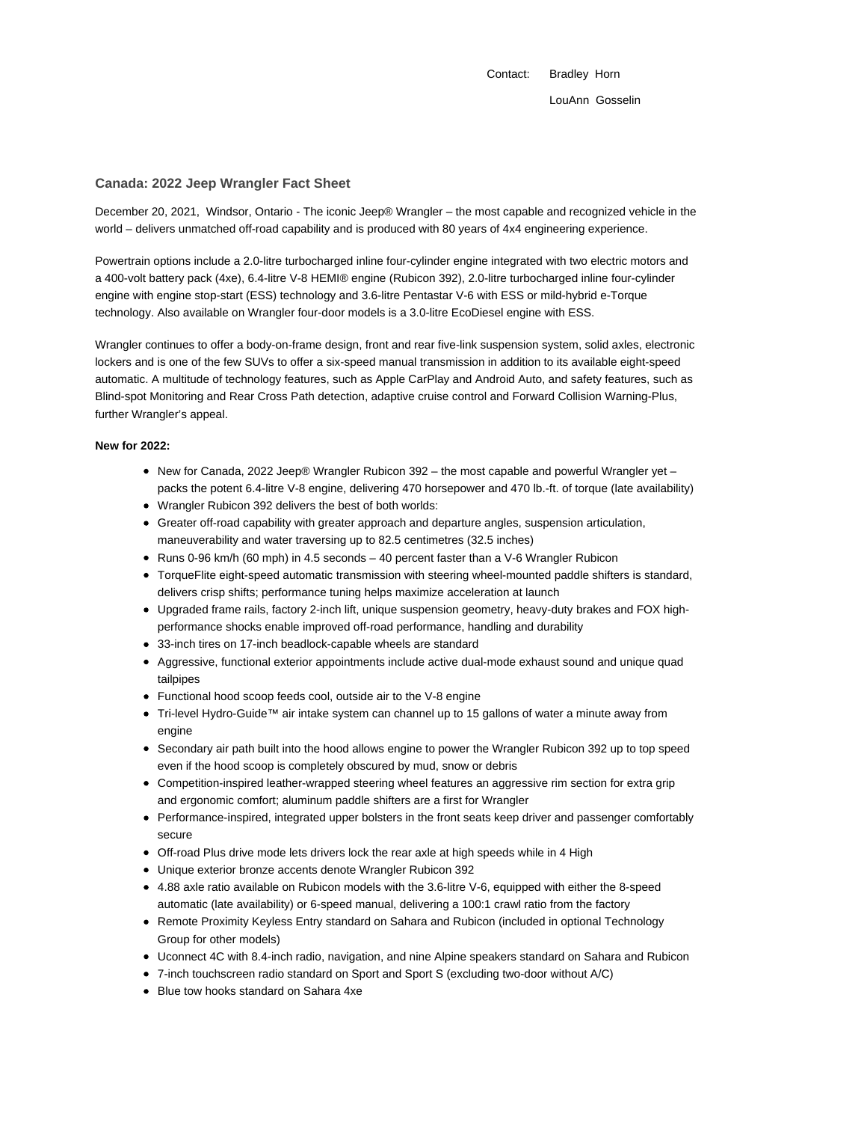Contact: Bradley Horn LouAnn Gosselin

#### **Canada: 2022 Jeep Wrangler Fact Sheet**

December 20, 2021, Windsor, Ontario - The iconic Jeep® Wrangler – the most capable and recognized vehicle in the world – delivers unmatched off-road capability and is produced with 80 years of 4x4 engineering experience.

Powertrain options include a 2.0-litre turbocharged inline four-cylinder engine integrated with two electric motors and a 400-volt battery pack (4xe), 6.4-litre V-8 HEMI® engine (Rubicon 392), 2.0-litre turbocharged inline four-cylinder engine with engine stop-start (ESS) technology and 3.6-litre Pentastar V-6 with ESS or mild-hybrid e-Torque technology. Also available on Wrangler four-door models is a 3.0-litre EcoDiesel engine with ESS.

Wrangler continues to offer a body-on-frame design, front and rear five-link suspension system, solid axles, electronic lockers and is one of the few SUVs to offer a six-speed manual transmission in addition to its available eight-speed automatic. A multitude of technology features, such as Apple CarPlay and Android Auto, and safety features, such as Blind-spot Monitoring and Rear Cross Path detection, adaptive cruise control and Forward Collision Warning-Plus, further Wrangler's appeal.

# **New for 2022:**

- New for Canada, 2022 Jeep® Wrangler Rubicon 392 the most capable and powerful Wrangler yet packs the potent 6.4-litre V-8 engine, delivering 470 horsepower and 470 lb.-ft. of torque (late availability)
- Wrangler Rubicon 392 delivers the best of both worlds:
- Greater off-road capability with greater approach and departure angles, suspension articulation, maneuverability and water traversing up to 82.5 centimetres (32.5 inches)
- $\bullet$  Runs 0-96 km/h (60 mph) in 4.5 seconds  $-$  40 percent faster than a V-6 Wrangler Rubicon
- TorqueFlite eight-speed automatic transmission with steering wheel-mounted paddle shifters is standard, delivers crisp shifts; performance tuning helps maximize acceleration at launch
- Upgraded frame rails, factory 2-inch lift, unique suspension geometry, heavy-duty brakes and FOX highperformance shocks enable improved off-road performance, handling and durability
- 33-inch tires on 17-inch beadlock-capable wheels are standard
- Aggressive, functional exterior appointments include active dual-mode exhaust sound and unique quad tailpipes
- Functional hood scoop feeds cool, outside air to the V-8 engine
- Tri-level Hydro-Guide™ air intake system can channel up to 15 gallons of water a minute away from engine
- Secondary air path built into the hood allows engine to power the Wrangler Rubicon 392 up to top speed even if the hood scoop is completely obscured by mud, snow or debris
- Competition-inspired leather-wrapped steering wheel features an aggressive rim section for extra grip and ergonomic comfort; aluminum paddle shifters are a first for Wrangler
- Performance-inspired, integrated upper bolsters in the front seats keep driver and passenger comfortably secure
- Off-road Plus drive mode lets drivers lock the rear axle at high speeds while in 4 High
- Unique exterior bronze accents denote Wrangler Rubicon 392
- 4.88 axle ratio available on Rubicon models with the 3.6-litre V-6, equipped with either the 8-speed automatic (late availability) or 6-speed manual, delivering a 100:1 crawl ratio from the factory
- Remote Proximity Keyless Entry standard on Sahara and Rubicon (included in optional Technology Group for other models)
- Uconnect 4C with 8.4-inch radio, navigation, and nine Alpine speakers standard on Sahara and Rubicon
- 7-inch touchscreen radio standard on Sport and Sport S (excluding two-door without A/C)
- Blue tow hooks standard on Sahara 4xe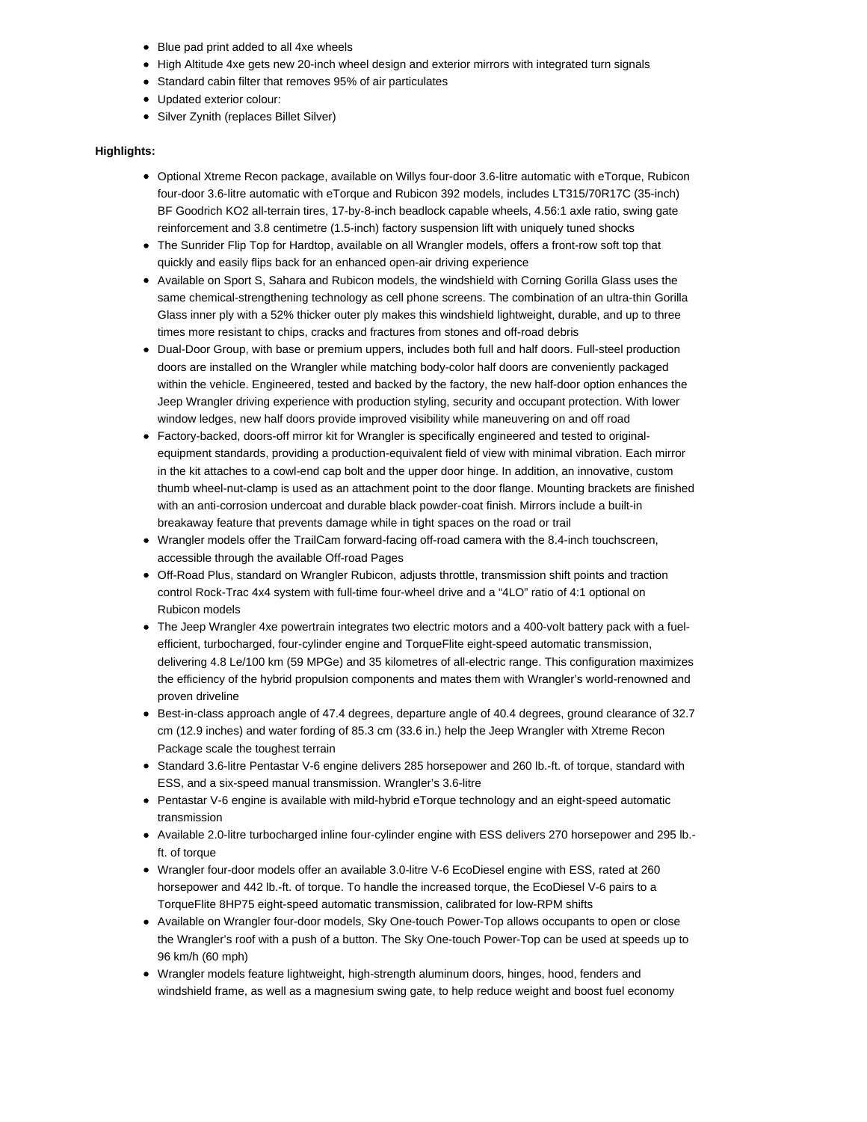- Blue pad print added to all 4xe wheels
- High Altitude 4xe gets new 20-inch wheel design and exterior mirrors with integrated turn signals
- Standard cabin filter that removes 95% of air particulates
- Updated exterior colour:
- Silver Zynith (replaces Billet Silver)

#### **Highlights:**

- Optional Xtreme Recon package, available on Willys four-door 3.6-litre automatic with eTorque, Rubicon four-door 3.6-litre automatic with eTorque and Rubicon 392 models, includes LT315/70R17C (35-inch) BF Goodrich KO2 all-terrain tires, 17-by-8-inch beadlock capable wheels, 4.56:1 axle ratio, swing gate reinforcement and 3.8 centimetre (1.5-inch) factory suspension lift with uniquely tuned shocks
- The Sunrider Flip Top for Hardtop, available on all Wrangler models, offers a front-row soft top that quickly and easily flips back for an enhanced open-air driving experience
- Available on Sport S, Sahara and Rubicon models, the windshield with Corning Gorilla Glass uses the same chemical-strengthening technology as cell phone screens. The combination of an ultra-thin Gorilla Glass inner ply with a 52% thicker outer ply makes this windshield lightweight, durable, and up to three times more resistant to chips, cracks and fractures from stones and off-road debris
- Dual-Door Group, with base or premium uppers, includes both full and half doors. Full-steel production doors are installed on the Wrangler while matching body-color half doors are conveniently packaged within the vehicle. Engineered, tested and backed by the factory, the new half-door option enhances the Jeep Wrangler driving experience with production styling, security and occupant protection. With lower window ledges, new half doors provide improved visibility while maneuvering on and off road
- Factory-backed, doors-off mirror kit for Wrangler is specifically engineered and tested to originalequipment standards, providing a production-equivalent field of view with minimal vibration. Each mirror in the kit attaches to a cowl-end cap bolt and the upper door hinge. In addition, an innovative, custom thumb wheel-nut-clamp is used as an attachment point to the door flange. Mounting brackets are finished with an anti-corrosion undercoat and durable black powder-coat finish. Mirrors include a built-in breakaway feature that prevents damage while in tight spaces on the road or trail
- Wrangler models offer the TrailCam forward-facing off-road camera with the 8.4-inch touchscreen, accessible through the available Off-road Pages
- Off-Road Plus, standard on Wrangler Rubicon, adjusts throttle, transmission shift points and traction control Rock-Trac 4x4 system with full-time four-wheel drive and a "4LO" ratio of 4:1 optional on Rubicon models
- The Jeep Wrangler 4xe powertrain integrates two electric motors and a 400-volt battery pack with a fuelefficient, turbocharged, four-cylinder engine and TorqueFlite eight-speed automatic transmission, delivering 4.8 Le/100 km (59 MPGe) and 35 kilometres of all-electric range. This configuration maximizes the efficiency of the hybrid propulsion components and mates them with Wrangler's world-renowned and proven driveline
- Best-in-class approach angle of 47.4 degrees, departure angle of 40.4 degrees, ground clearance of 32.7 cm (12.9 inches) and water fording of 85.3 cm (33.6 in.) help the Jeep Wrangler with Xtreme Recon Package scale the toughest terrain
- Standard 3.6-litre Pentastar V-6 engine delivers 285 horsepower and 260 lb.-ft. of torque, standard with ESS, and a six-speed manual transmission. Wrangler's 3.6-litre
- Pentastar V-6 engine is available with mild-hybrid eTorque technology and an eight-speed automatic transmission
- Available 2.0-litre turbocharged inline four-cylinder engine with ESS delivers 270 horsepower and 295 lb. ft. of torque
- Wrangler four-door models offer an available 3.0-litre V-6 EcoDiesel engine with ESS, rated at 260 horsepower and 442 lb.-ft. of torque. To handle the increased torque, the EcoDiesel V-6 pairs to a TorqueFlite 8HP75 eight-speed automatic transmission, calibrated for low-RPM shifts
- Available on Wrangler four-door models, Sky One-touch Power-Top allows occupants to open or close the Wrangler's roof with a push of a button. The Sky One-touch Power-Top can be used at speeds up to 96 km/h (60 mph)
- Wrangler models feature lightweight, high-strength aluminum doors, hinges, hood, fenders and windshield frame, as well as a magnesium swing gate, to help reduce weight and boost fuel economy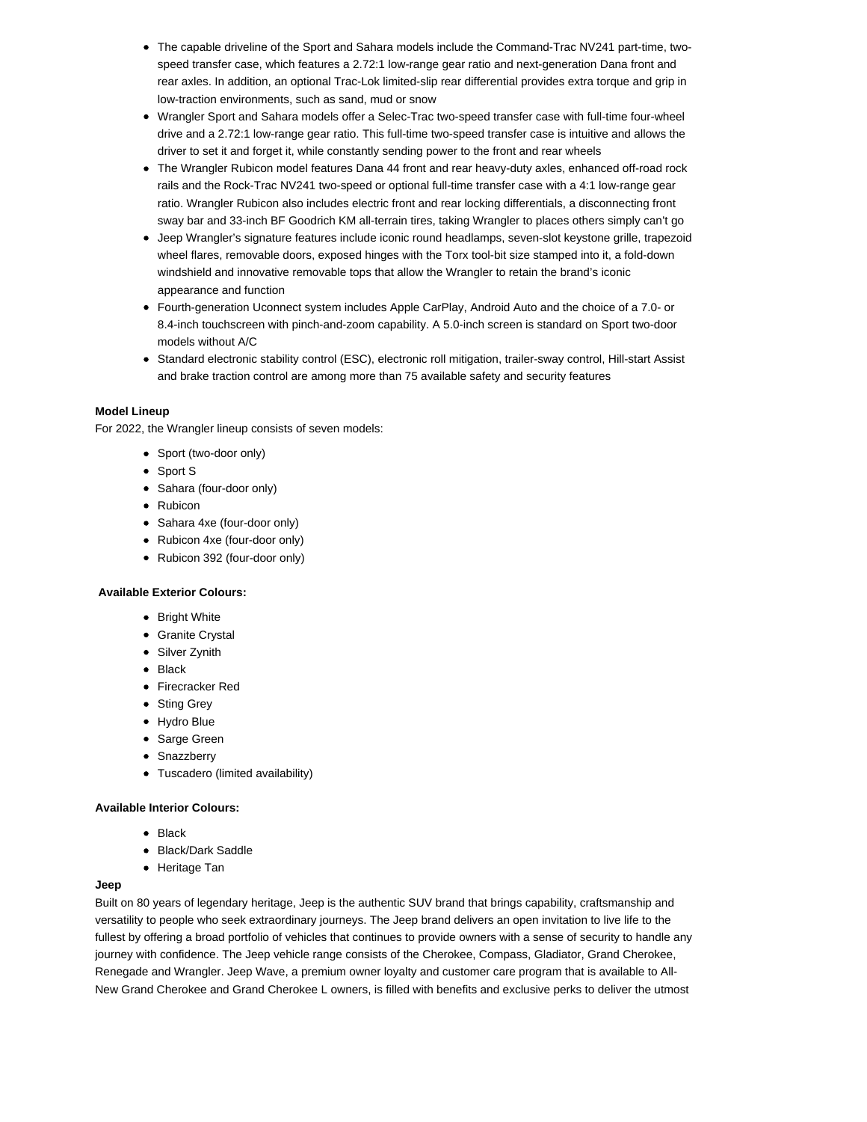- The capable driveline of the Sport and Sahara models include the Command-Trac NV241 part-time, twospeed transfer case, which features a 2.72:1 low-range gear ratio and next-generation Dana front and rear axles. In addition, an optional Trac-Lok limited-slip rear differential provides extra torque and grip in low-traction environments, such as sand, mud or snow
- Wrangler Sport and Sahara models offer a Selec-Trac two-speed transfer case with full-time four-wheel drive and a 2.72:1 low-range gear ratio. This full-time two-speed transfer case is intuitive and allows the driver to set it and forget it, while constantly sending power to the front and rear wheels
- The Wrangler Rubicon model features Dana 44 front and rear heavy-duty axles, enhanced off-road rock rails and the Rock-Trac NV241 two-speed or optional full-time transfer case with a 4:1 low-range gear ratio. Wrangler Rubicon also includes electric front and rear locking differentials, a disconnecting front sway bar and 33-inch BF Goodrich KM all-terrain tires, taking Wrangler to places others simply can't go
- Jeep Wrangler's signature features include iconic round headlamps, seven-slot keystone grille, trapezoid wheel flares, removable doors, exposed hinges with the Torx tool-bit size stamped into it, a fold-down windshield and innovative removable tops that allow the Wrangler to retain the brand's iconic appearance and function
- Fourth-generation Uconnect system includes Apple CarPlay, Android Auto and the choice of a 7.0- or 8.4-inch touchscreen with pinch-and-zoom capability. A 5.0-inch screen is standard on Sport two-door models without A/C
- Standard electronic stability control (ESC), electronic roll mitigation, trailer-sway control, Hill-start Assist and brake traction control are among more than 75 available safety and security features

### **Model Lineup**

For 2022, the Wrangler lineup consists of seven models:

- Sport (two-door only)
- Sport S
- Sahara (four-door only)
- Rubicon
- Sahara 4xe (four-door only)
- Rubicon 4xe (four-door only)
- Rubicon 392 (four-door only)

## **Available Exterior Colours:**

- Bright White
- Granite Crystal
- Silver Zynith
- Black
- Firecracker Red
- Sting Grey
- Hydro Blue
- Sarge Green
- Snazzberry
- Tuscadero (limited availability)

#### **Available Interior Colours:**

- $\bullet$  Black
- Black/Dark Saddle
- Heritage Tan

## **Jeep**

Built on 80 years of legendary heritage, Jeep is the authentic SUV brand that brings capability, craftsmanship and versatility to people who seek extraordinary journeys. The Jeep brand delivers an open invitation to live life to the fullest by offering a broad portfolio of vehicles that continues to provide owners with a sense of security to handle any journey with confidence. The Jeep vehicle range consists of the Cherokee, Compass, Gladiator, Grand Cherokee, Renegade and Wrangler. Jeep Wave, a premium owner loyalty and customer care program that is available to All-New Grand Cherokee and Grand Cherokee L owners, is filled with benefits and exclusive perks to deliver the utmost